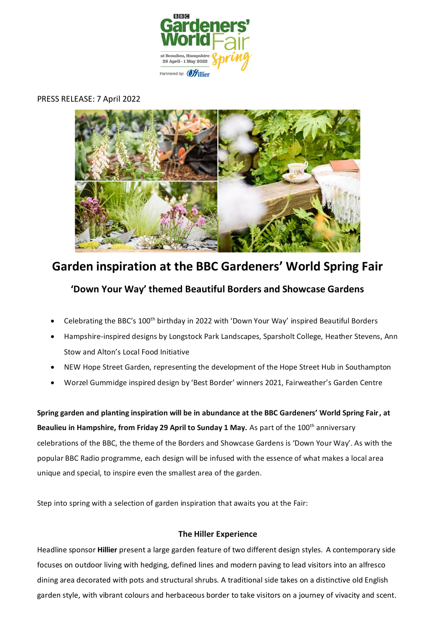

# PRESS RELEASE: 7 April 2022



# **Garden inspiration at the BBC Gardeners' World Spring Fair**

# **'Down Your Way' themed Beautiful Borders and Showcase Gardens**

- Celebrating the BBC's 100th birthday in 2022 with 'Down Your Way' inspired Beautiful Borders
- Hampshire-inspired designs by Longstock Park Landscapes, Sparsholt College, Heather Stevens, Ann Stow and Alton's Local Food Initiative
- NEW Hope Street Garden, representing the development of the Hope Street Hub in Southampton
- Worzel Gummidge inspired design by 'Best Border' winners 2021, Fairweather's Garden Centre

**Spring garden and planting inspiration will be in abundance at the BBC Gardeners' World Spring Fair, at Beaulieu in Hampshire, from Friday 29 April to Sunday 1 May.** As part of the 100<sup>th</sup> anniversary celebrations of the BBC, the theme of the Borders and Showcase Gardens is 'Down Your Way'. As with the popular BBC Radio programme, each design will be infused with the essence of what makes a local area unique and special, to inspire even the smallest area of the garden.

Step into spring with a selection of garden inspiration that awaits you at the Fair:

# **The Hiller Experience**

Headline sponsor **Hillier** present a large garden feature of two different design styles. A contemporary side focuses on outdoor living with hedging, defined lines and modern paving to lead visitors into an alfresco dining area decorated with pots and structural shrubs. A traditional side takes on a distinctive old English garden style, with vibrant colours and herbaceous border to take visitors on a journey of vivacity and scent.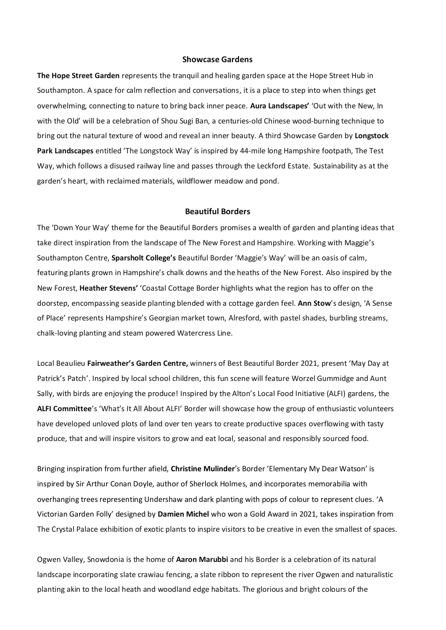#### **Showcase Gardens**

**The Hope Street Garden** represents the tranquil and healing garden space at the Hope Street Hub in Southampton. A space for calm reflection and conversations, it is a place to step into when things get overwhelming, connecting to nature to bring back inner peace. **Aura Landscapes'** 'Out with the New, In with the Old' will be a celebration of Shou Sugi Ban, a centuries-old Chinese wood-burning technique to bring out the natural texture of wood and reveal an inner beauty. A third Showcase Garden by **Longstock Park Landscapes** entitled 'The Longstock Way' is inspired by 44-mile long Hampshire footpath, The Test Way, which follows a disused railway line and passes through the Leckford Estate. Sustainability as at the garden's heart, with reclaimed materials, wildflower meadow and pond.

## **Beautiful Borders**

The 'Down Your Way' theme for the Beautiful Borders promises a wealth of garden and planting ideas that take direct inspiration from the landscape of The New Forest and Hampshire. Working with Maggie's Southampton Centre, **Sparsholt College's** Beautiful Border 'Maggie's Way' will be an oasis of calm, featuring plants grown in Hampshire's chalk downs and the heaths of the New Forest. Also inspired by the New Forest, **Heather Stevens'** 'Coastal Cottage Border highlights what the region has to offer on the doorstep, encompassing seaside planting blended with a cottage garden feel. **Ann Stow**'s design, 'A Sense of Place' represents Hampshire's Georgian market town, Alresford, with pastel shades, burbling streams, chalk-loving planting and steam powered Watercress Line.

Local Beaulieu **Fairweather's Garden Centre,** winners of Best Beautiful Border 2021, present 'May Day at Patrick's Patch'. Inspired by local school children, this fun scene will feature Worzel Gummidge and Aunt Sally, with birds are enjoying the produce! Inspired by the Alton's Local Food Initiative (ALFI) gardens, the **ALFI Committee**'s 'What's It All About ALFI' Border will showcase how the group of enthusiastic volunteers have developed unloved plots of land over ten years to create productive spaces overflowing with tasty produce, that and will inspire visitors to grow and eat local, seasonal and responsibly sourced food.

Bringing inspiration from further afield, **Christine Mulinder**'s Border 'Elementary My Dear Watson' is inspired by Sir Arthur Conan Doyle, author of Sherlock Holmes, and incorporates memorabilia with overhanging trees representing Undershaw and dark planting with pops of colour to represent clues. 'A Victorian Garden Folly' designed by **Damien Michel** who won a Gold Award in 2021, takes inspiration from The Crystal Palace exhibition of exotic plants to inspire visitors to be creative in even the smallest of spaces.

Ogwen Valley, Snowdonia is the home of **Aaron Marubbi** and his Border is a celebration of its natural landscape incorporating slate crawiau fencing, a slate ribbon to represent the river Ogwen and naturalistic planting akin to the local heath and woodland edge habitats. The glorious and bright colours of the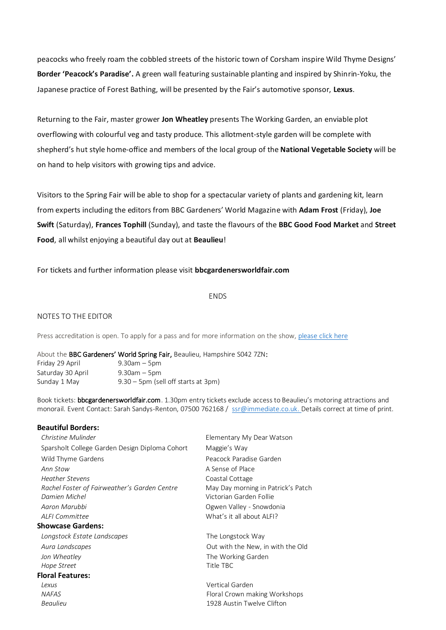peacocks who freely roam the cobbled streets of the historic town of Corsham inspire Wild Thyme Designs' **Border 'Peacock's Paradise'.** A green wall featuring sustainable planting and inspired by Shinrin-Yoku, the Japanese practice of Forest Bathing, will be presented by the Fair's automotive sponsor, **Lexus**.

Returning to the Fair, master grower **Jon Wheatley** presents The Working Garden, an enviable plot overflowing with colourful veg and tasty produce. This allotment-style garden will be complete with shepherd's hut style home-office and members of the local group of the **National Vegetable Society** will be on hand to help visitors with growing tips and advice.

Visitors to the Spring Fair will be able to shop for a spectacular variety of plants and gardening kit, learn from experts including the editors from BBC Gardeners' World Magazine with **Adam Frost** (Friday), **Joe Swift** (Saturday), **Frances Tophill** (Sunday), and taste the flavours of the **BBC Good Food Market** and **Street Food**, all whilst enjoying a beautiful day out at **Beaulieu**!

## For tickets and further information please visit **bbcgardenersworldfair.com**

#### ENDS

#### NOTES TO THE EDITOR

Press accreditation is open. To apply for a pass and for more information on the show, [please click here](https://www.bbcgardenersworldlive.com/spring-fair/spring-fair-press/)

About the BBC Gardeners' World Spring Fair, Beaulieu, Hampshire S042 7ZN:

| Friday 29 April   | $9.30$ am $-5$ pm                      |
|-------------------|----------------------------------------|
| Saturday 30 April | $9.30$ am $-5$ pm                      |
| Sunday 1 May      | $9.30 - 5$ pm (sell off starts at 3pm) |

Book tickets: **bbcgardenersworldfair.com**. 1.30pm entry tickets exclude access to Beaulieu's motoring attractions and monorail. Event Contact: Sarah Sandys-Renton, 07500 762168 / [ssr@immediate.co.uk.](mailto:ssr@immediate.co.uk) Details correct at time of print.

#### **Beautiful Borders:**

**Christine Mulinder Elementary My Dear Watson** Sparsholt College Garden Design Diploma Cohort Maggie's Way Wild Thyme Gardens **Peacock Paradise Garden Ann Stow A Sense of Place** *Heather Stevens* Coastal Cottage *Rachel Foster of Fairweather's Garden Centre* May Day morning in Patrick's Patch *Damien Michel* Victorian Garden Follie *Aaron Marubbi* Ogwen Valley - Snowdonia *ALFI Committee* What's it all about ALFI? **Showcase Gardens:** *Longstock Estate Landscapes* The Longstock Way Aura Landscapes **Contract Contract Contract Contract Contract Contract Contract Contract Contract Contract Contract Contract Contract Contract Contract Contract Contract Contract Contract Contract Contract Contract Contrac** *Jon Wheatley* **The Working Garden** *Hope Street* Title TBC **Floral Features:** *Lexus* Vertical Garden *NAFAS* Floral Crown making Workshops *Beaulieu* 1928 Austin Twelve Clifton